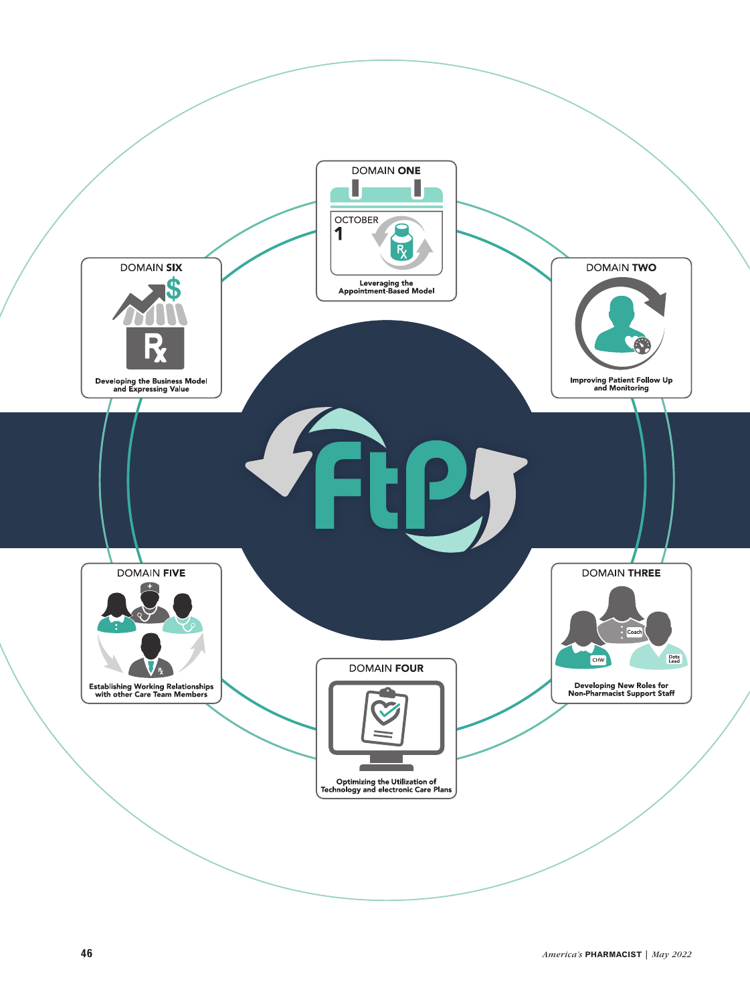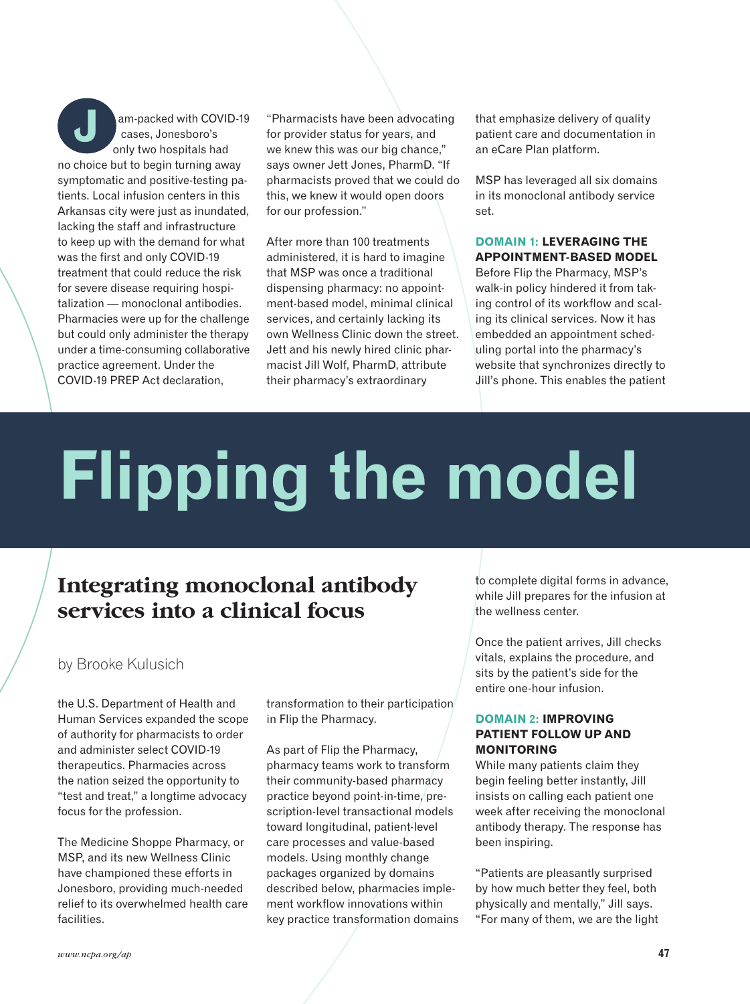am-packed with COVID-19 cases, Jonesboro's only two hospitals had no choice but to begin turning away symptomatic and positive-testing patients. Local infusion centers in this Arkansas city were just as inundated, lacking the staff and infrastructure to keep up with the demand for what was the first and only COVID-19 treatment that could reduce the risk for severe disease requiring hospitalization — monoclonal antibodies. Pharmacies were up for the challenge but could only administer the therapy under a time-consuming collaborative practice agreement. Under the COVID-19 PREP Act declaration, **J**

"Pharmacists have been advocating for provider status for years, and we knew this was our big chance," says owner Jett Jones, PharmD. "If pharmacists proved that we could do this, we knew it would open doors for our profession."

After more than 100 treatments administered, it is hard to imagine that MSP was once a traditional dispensing pharmacy: no appointment-based model, minimal clinical services, and certainly lacking its own Wellness Clinic down the street. Jett and his newly hired clinic pharmacist Jill Wolf, PharmD, attribute their pharmacy's extraordinary

that emphasize delivery of quality patient care and documentation in an eCare Plan platform.

MSP has leveraged all six domains in its monoclonal antibody service set.

#### **DOMAIN 1: LEVERAGING THE APPOINTMENT-BASED MODEL**

Before Flip the Pharmacy, MSP's walk-in policy hindered it from taking control of its workflow and scaling its clinical services. Now it has embedded an appointment scheduling portal into the pharmacy's website that synchronizes directly to Jill's phone. This enables the patient

# **Flipping the model**

## **Integrating monoclonal antibody services into a clinical focus**

### by Brooke Kulusich

the U.S. Department of Health and Human Services expanded the scope of authority for pharmacists to order and administer select COVID-19 therapeutics. Pharmacies across the nation seized the opportunity to "test and treat," a longtime advocacy focus for the profession.

The Medicine Shoppe Pharmacy, or MSP, and its new Wellness Clinic have championed these efforts in Jonesboro, providing much-needed relief to its overwhelmed health care facilities.

transformation to their participation in Flip the Pharmacy.

As part of Flip the Pharmacy, pharmacy teams work to transform their community-based pharmacy practice beyond point-in-time, prescription-level transactional models toward longitudinal, patient-level care processes and value-based models. Using monthly change packages organized by domains described below, pharmacies implement workflow innovations within key practice transformation domains to complete digital forms in advance, while Jill prepares for the infusion at the wellness center.

Once the patient arrives, Jill checks vitals, explains the procedure, and sits by the patient's side for the entire one-hour infusion.

#### **DOMAIN 2: IMPROVING PATIENT FOLLOW UP AND MONITORING**

While many patients claim they begin feeling better instantly, Jill insists on calling each patient one week after receiving the monoclonal antibody therapy. The response has been inspiring.

"Patients are pleasantly surprised by how much better they feel, both physically and mentally," Jill says. "For many of them, we are the light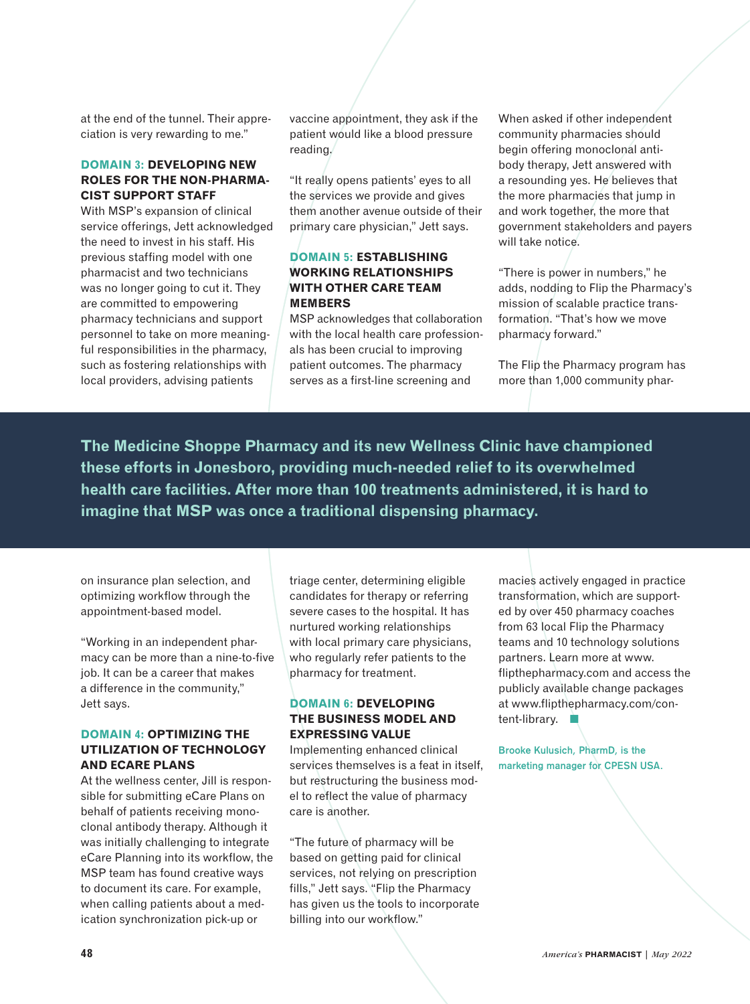at the end of the tunnel. Their appreciation is very rewarding to me."

#### **DOMAIN 3: DEVELOPING NEW ROLES FOR THE NON-PHARMA-CIST SUPPORT STAFF**

With MSP's expansion of clinical service offerings, Jett acknowledged the need to invest in his staff. His previous staffing model with one pharmacist and two technicians was no longer going to cut it. They are committed to empowering pharmacy technicians and support personnel to take on more meaningful responsibilities in the pharmacy, such as fostering relationships with local providers, advising patients

vaccine appointment, they ask if the patient would like a blood pressure reading.

"It really opens patients' eyes to all the services we provide and gives them another avenue outside of their primary care physician," Jett says.

#### **DOMAIN 5: ESTABLISHING WORKING RELATIONSHIPS WITH OTHER CARE TEAM MEMBERS**

MSP acknowledges that collaboration with the local health care professionals has been crucial to improving patient outcomes. The pharmacy serves as a first-line screening and

When asked if other independent community pharmacies should begin offering monoclonal antibody therapy, Jett answered with a resounding yes. He believes that the more pharmacies that jump in and work together, the more that government stakeholders and payers will take notice.

"There is power in numbers," he adds, nodding to Flip the Pharmacy's mission of scalable practice transformation. "That's how we move pharmacy forward."

The Flip the Pharmacy program has more than 1,000 community phar-

**The Medicine Shoppe Pharmacy and its new Wellness Clinic have championed these efforts in Jonesboro, providing much-needed relief to its overwhelmed health care facilities. After more than 100 treatments administered, it is hard to imagine that MSP was once a traditional dispensing pharmacy.**

on insurance plan selection, and optimizing workflow through the appointment-based model.

"Working in an independent pharmacy can be more than a nine-to-five job. It can be a career that makes a difference in the community," Jett says.

#### **DOMAIN 4: OPTIMIZING THE UTILIZATION OF TECHNOLOGY AND ECARE PLANS**

At the wellness center, Jill is responsible for submitting eCare Plans on behalf of patients receiving monoclonal antibody therapy. Although it was initially challenging to integrate eCare Planning into its workflow, the MSP team has found creative ways to document its care. For example, when calling patients about a medication synchronization pick-up or

triage center, determining eligible candidates for therapy or referring severe cases to the hospital. It has nurtured working relationships with local primary care physicians, who regularly refer patients to the pharmacy for treatment.

#### **DOMAIN 6: DEVELOPING THE BUSINESS MODEL AND EXPRESSING VALUE**

Implementing enhanced clinical services themselves is a feat in itself, but restructuring the business model to reflect the value of pharmacy care is another.

"The future of pharmacy will be based on getting paid for clinical services, not relying on prescription fills," Jett says. "Flip the Pharmacy has given us the tools to incorporate billing into our workflow."

macies actively engaged in practice transformation, which are supported by over 450 pharmacy coaches from 63 local Flip the Pharmacy teams and 10 technology solutions partners. Learn more at www. flipthepharmacy.com and access the publicly available change packages at www.flipthepharmacy.com/content-library.

**Brooke Kulusich, PharmD, is the marketing manager for CPESN USA.**